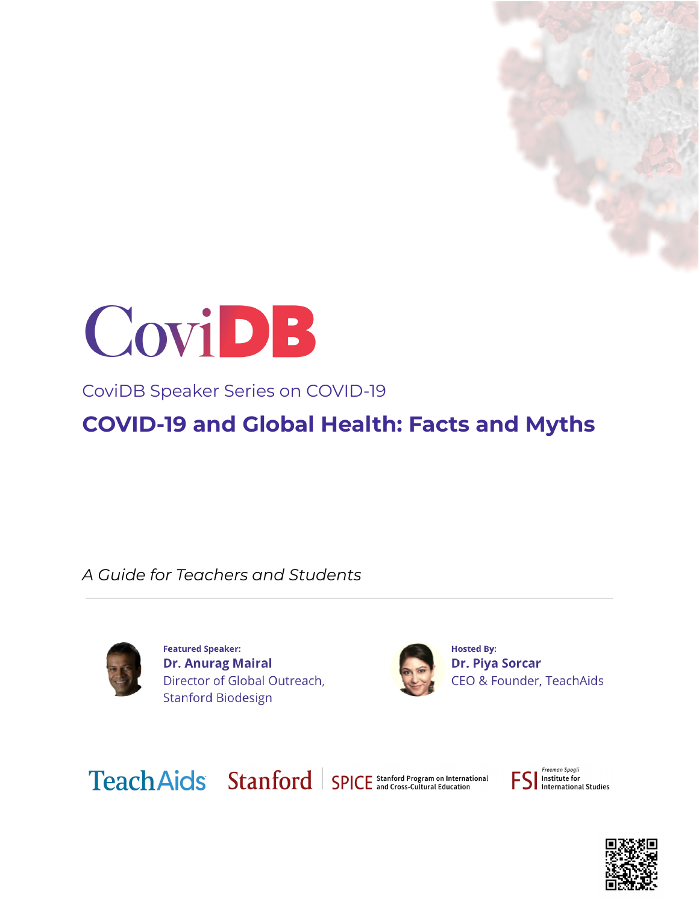



CoviDB Speaker Series on COVID-19

**COVID-19 and Global Health: Facts and Myths**

*A Guide for Teachers and Students*



**Featured Speaker: Dr. Anurag Mairal** Director of Global Outreach, **Stanford Biodesign** 



**Hosted By: Dr. Piya Sorcar** CEO & Founder, TeachAids

Teach Aids Stanford | SPICE Stanford Program on International

Freeman Spoali Institute for<br>Institute for<br>International Studies

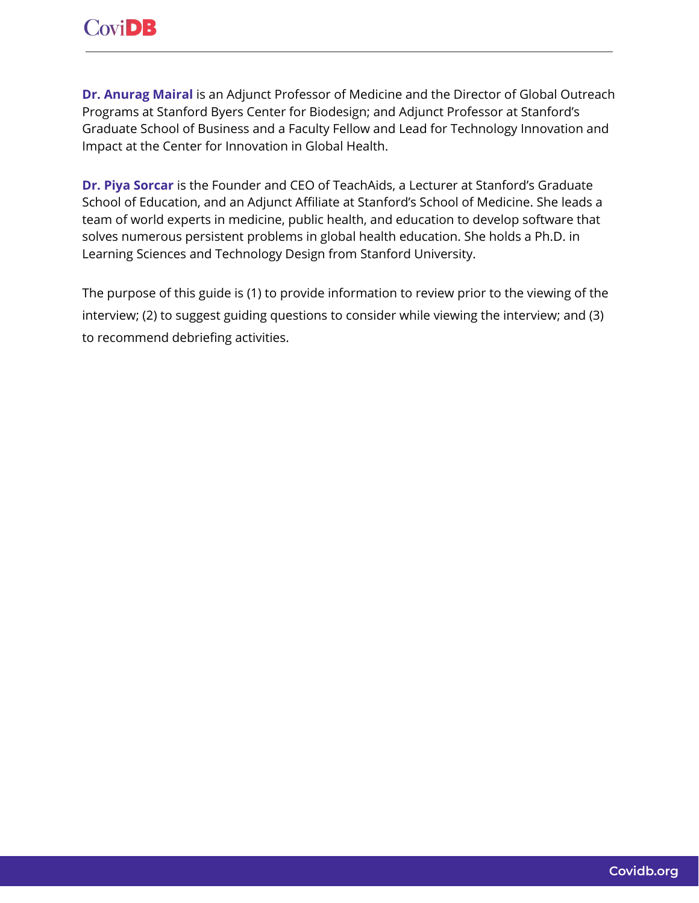**Dr. [Anurag](https://profiles.stanford.edu/anurag-mairal) Mairal** is an Adjunct Professor of Medicine and the Director of Global Outreach Programs at Stanford Byers Center for Biodesign; and Adjunct Professor at Stanford's Graduate School of Business and a Faculty Fellow and Lead for Technology Innovation and Impact at the Center for Innovation in Global Health.

**Dr. Piya [Sorcar](https://teachaids.org/about/team/#team-tab1-10685)** is the Founder and CEO of TeachAids, a Lecturer at Stanford's Graduate School of Education, and an Adjunct Affiliate at Stanford's School of Medicine. She leads a team of world experts in medicine, public health, and education to develop software that solves numerous persistent problems in global health education. She holds a Ph.D. in Learning Sciences and Technology Design from Stanford University.

The purpose of this guide is (1) to provide information to review prior to the viewing of the interview; (2) to suggest guiding questions to consider while viewing the interview; and (3) to recommend debriefing activities.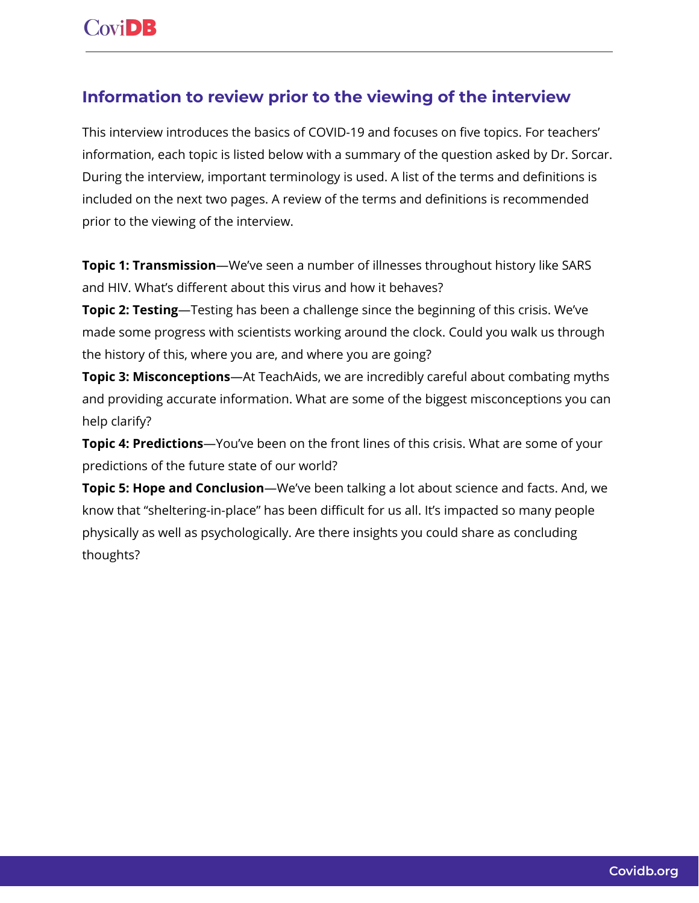## **Information to review prior to the viewing of the interview**

This interview introduces the basics of COVID-19 and focuses on five topics. For teachers' information, each topic is listed below with a summary of the question asked by Dr. Sorcar. During the interview, important terminology is used. A list of the terms and definitions is included on the next two pages. A review of the terms and definitions is recommended prior to the viewing of the interview.

**Topic 1: Transmission**—We've seen a number of illnesses throughout history like SARS and HIV. What's different about this virus and how it behaves?

**Topic 2: Testing**—Testing has been a challenge since the beginning of this crisis. We've made some progress with scientists working around the clock. Could you walk us through the history of this, where you are, and where you are going?

**Topic 3: Misconceptions**—At TeachAids, we are incredibly careful about combating myths and providing accurate information. What are some of the biggest misconceptions you can help clarify?

**Topic 4: Predictions**—You've been on the front lines of this crisis. What are some of your predictions of the future state of our world?

**Topic 5: Hope and Conclusion**—We've been talking a lot about science and facts. And, we know that "sheltering-in-place" has been difficult for us all. It's impacted so many people physically as well as psychologically. Are there insights you could share as concluding thoughts?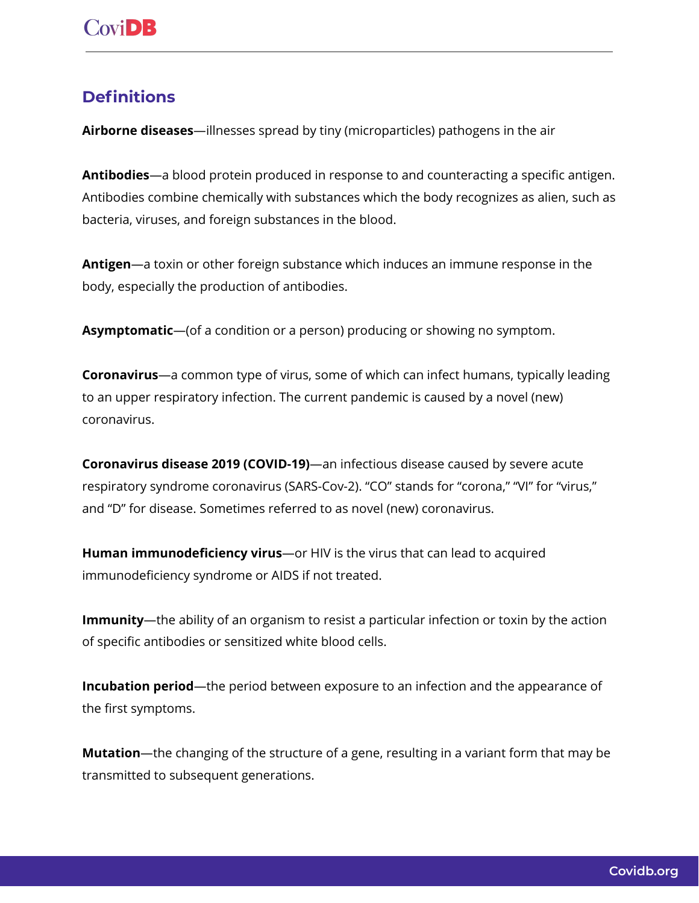## **Definitions**

**Airborne diseases**—illnesses spread by tiny (microparticles) pathogens in the air

**Antibodies**—a blood protein produced in response to and counteracting a specific antigen. Antibodies combine chemically with substances which the body recognizes as alien, such as bacteria, viruses, and foreign substances in the blood.

**Antigen**—a toxin or other foreign substance which induces an immune response in the body, especially the production of antibodies.

**Asymptomatic**—(of a condition or a person) producing or showing no symptom.

**Coronavirus**—a common type of virus, some of which can infect humans, typically leading to an upper respiratory infection. The current pandemic is caused by a novel (new) coronavirus.

**Coronavirus disease 2019 (COVID-19)**—an infectious disease caused by severe acute respiratory syndrome coronavirus (SARS-Cov-2). "CO" stands for "corona," "VI" for "virus," and "D" for disease. Sometimes referred to as novel (new) coronavirus.

**Human immunodeficiency virus**—or HIV is the virus that can lead to acquired immunodeficiency syndrome or AIDS if not treated.

**Immunity**—the ability of an organism to resist a particular infection or toxin by the action of specific antibodies or sensitized white blood cells.

**Incubation period**—the period between exposure to an infection and the appearance of the first symptoms.

**Mutation**—the changing of the structure of a gene, resulting in a variant form that may be transmitted to subsequent generations.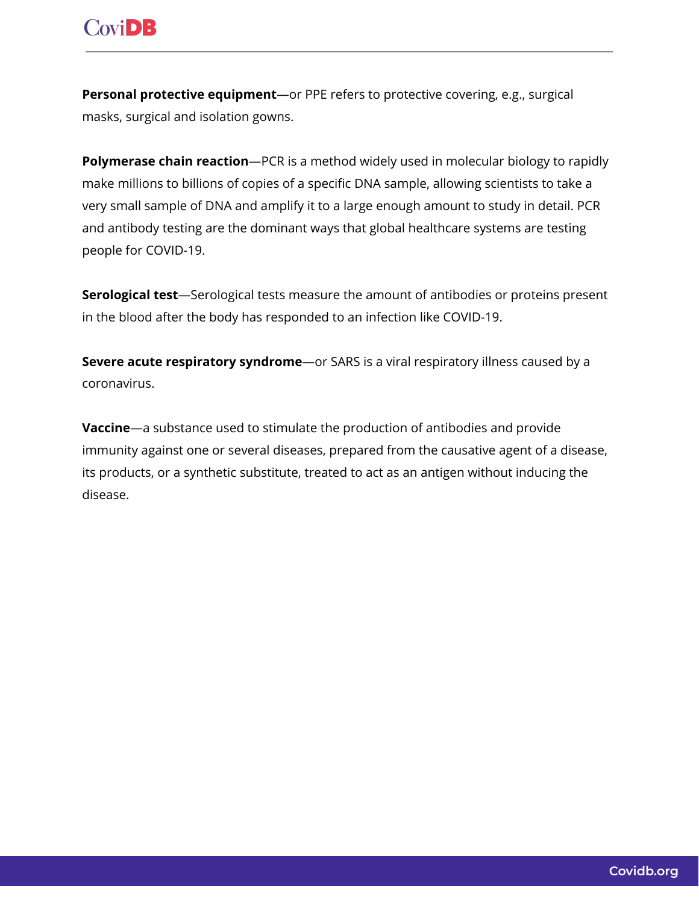# **CoviDB**

**Personal protective equipment**—or PPE refers to protective covering, e.g., surgical masks, surgical and isolation gowns.

**Polymerase chain reaction**—PCR is a method widely used in molecular biology to rapidly make millions to billions of copies of a specific DNA sample, allowing scientists to take a very small sample of DNA and amplify it to a large enough amount to study in detail. PCR and antibody testing are the dominant ways that global healthcare systems are testing people for COVID-19.

**Serological test**—Serological tests measure the amount of antibodies or proteins present in the blood after the body has responded to an infection like COVID-19.

**Severe acute respiratory syndrome**—or SARS is a viral respiratory illness caused by a coronavirus.

**Vaccine**—a substance used to stimulate the production of antibodies and provide immunity against one or several diseases, prepared from the causative agent of a disease, its products, or a synthetic substitute, treated to act as an antigen without inducing the disease.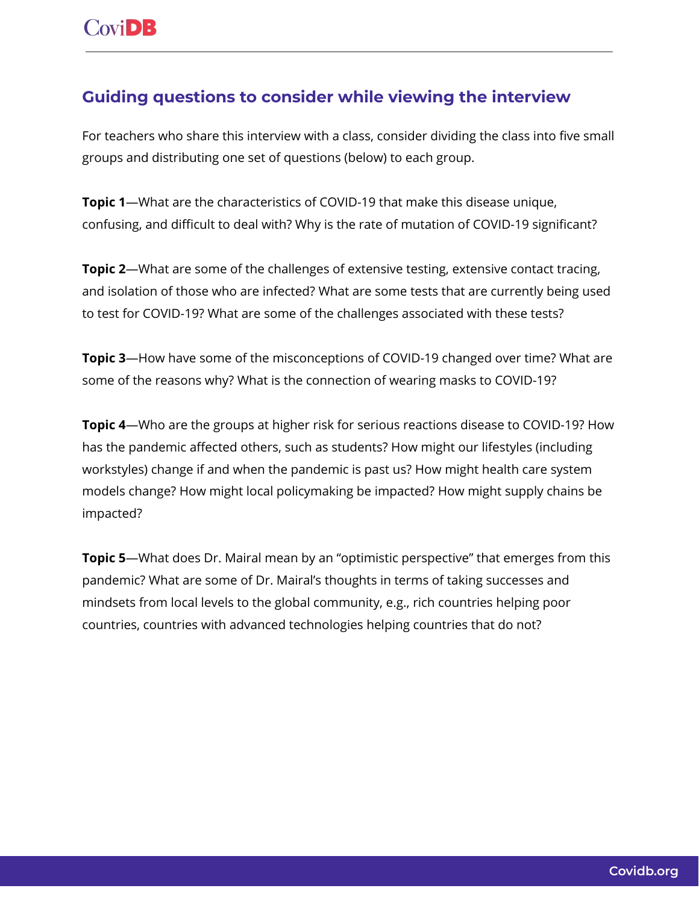## **Guiding questions to consider while viewing the interview**

For teachers who share this interview with a class, consider dividing the class into five small groups and distributing one set of questions (below) to each group.

**Topic 1**—What are the characteristics of COVID-19 that make this disease unique, confusing, and difficult to deal with? Why is the rate of mutation of COVID-19 significant?

**Topic 2**—What are some of the challenges of extensive testing, extensive contact tracing, and isolation of those who are infected? What are some tests that are currently being used to test for COVID-19? What are some of the challenges associated with these tests?

**Topic 3**—How have some of the misconceptions of COVID-19 changed over time? What are some of the reasons why? What is the connection of wearing masks to COVID-19?

**Topic 4**—Who are the groups at higher risk for serious reactions disease to COVID-19? How has the pandemic affected others, such as students? How might our lifestyles (including workstyles) change if and when the pandemic is past us? How might health care system models change? How might local policymaking be impacted? How might supply chains be impacted?

**Topic 5**—What does Dr. Mairal mean by an "optimistic perspective" that emerges from this pandemic? What are some of Dr. Mairal's thoughts in terms of taking successes and mindsets from local levels to the global community, e.g., rich countries helping poor countries, countries with advanced technologies helping countries that do not?